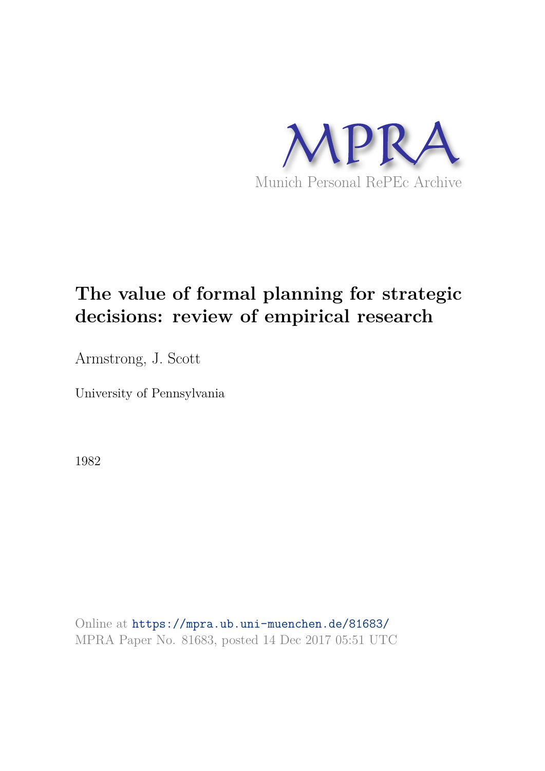

## **The value of formal planning for strategic decisions: review of empirical research**

Armstrong, J. Scott

University of Pennsylvania

1982

Online at https://mpra.ub.uni-muenchen.de/81683/ MPRA Paper No. 81683, posted 14 Dec 2017 05:51 UTC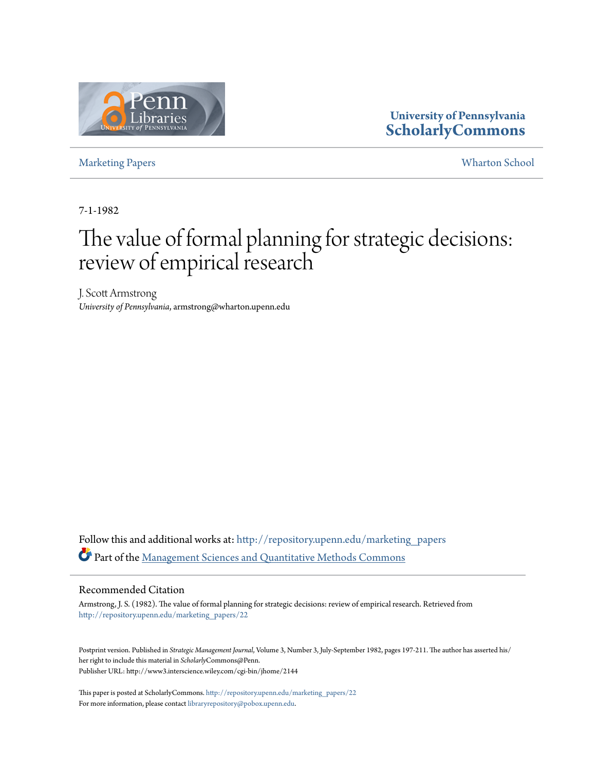

## **University of Pennsylvania ScholarlyCommons**

Marketing Papers Wharton School

7-1-1982

# The value of formal planning for strategic decisions: review of empirical research

J. Scott Armstrong *University of Pennsylvania*, armstrong@wharton.upenn.edu

Follow this and additional works at: http://repository.upenn.edu/marketing\_papers Part of the Management Sciences and Quantitative Methods Commons

## Recommended Citation

Armstrong, J. S. (1982). The value of formal planning for strategic decisions: review of empirical research. Retrieved from http://repository.upenn.edu/marketing\_papers/22

Postprint version. Published in *Strategic Management Journal*, Volume 3, Number 3, July-September 1982, pages 197-211. The author has asserted his/ her right to include this material in *Scholarly*Commons@Penn. Publisher URL: http://www3.interscience.wiley.com/cgi-bin/jhome/2144

This paper is posted at ScholarlyCommons. http://repository.upenn.edu/marketing\_papers/22 For more information, please contact libraryrepository@pobox.upenn.edu.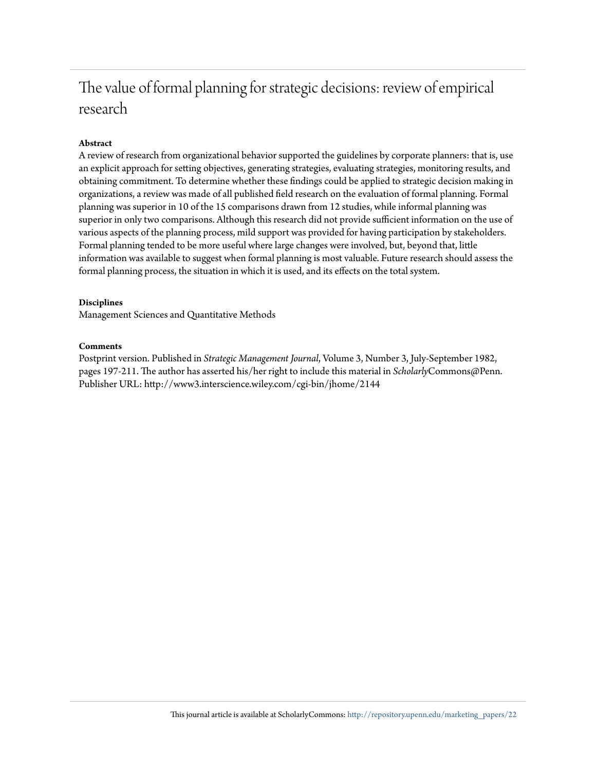## The value of formal planning for strategic decisions: review of empirical research

## **Abstract**

A review of research from organizational behavior supported the guidelines by corporate planners: that is, use an explicit approach for setting objectives, generating strategies, evaluating strategies, monitoring results, and obtaining commitment. To determine whether these findings could be applied to strategic decision making in organizations, a review was made of all published field research on the evaluation of formal planning. Formal planning was superior in 10 of the 15 comparisons drawn from 12 studies, while informal planning was superior in only two comparisons. Although this research did not provide sufficient information on the use of various aspects of the planning process, mild support was provided for having participation by stakeholders. Formal planning tended to be more useful where large changes were involved, but, beyond that, little information was available to suggest when formal planning is most valuable. Future research should assess the formal planning process, the situation in which it is used, and its effects on the total system.

## **Disciplines**

Management Sciences and Quantitative Methods

## **Comments**

Postprint version. Published in *Strategic Management Journal*, Volume 3, Number 3, July-September 1982, pages 197-211. The author has asserted his/her right to include this material in *Scholarly*Commons@Penn. Publisher URL: http://www3.interscience.wiley.com/cgi-bin/jhome/2144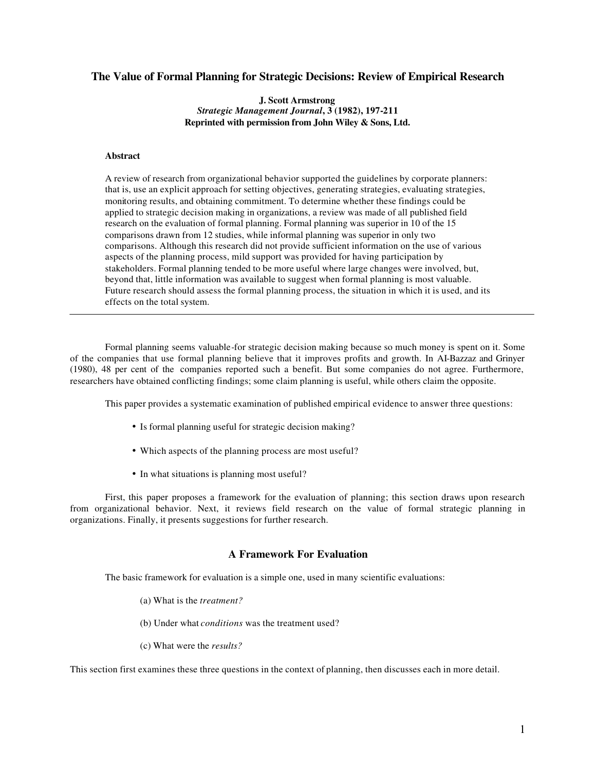## **The Value of Formal Planning for Strategic Decisions: Review of Empirical Research**

## **J. Scott Armstrong** *Strategic Management Journal***, 3 (1982), 197-211 Reprinted with permission from John Wiley & Sons, Ltd.**

## **Abstract**

A review of research from organizational behavior supported the guidelines by corporate planners: that is, use an explicit approach for setting objectives, generating strategies, evaluating strategies, monitoring results, and obtaining commitment. To determine whether these findings could be applied to strategic decision making in organizations, a review was made of all published field research on the evaluation of formal planning. Formal planning was superior in 10 of the 15 comparisons drawn from 12 studies, while informal planning was superior in only two comparisons. Although this research did not provide sufficient information on the use of various aspects of the planning process, mild support was provided for having participation by stakeholders. Formal planning tended to be more useful where large changes were involved, but, beyond that, little information was available to suggest when formal planning is most valuable. Future research should assess the formal planning process, the situation in which it is used, and its effects on the total system.

Formal planning seems valuable-for strategic decision making because so much money is spent on it. Some of the companies that use formal planning believe that it improves profits and growth. In AI-Bazzaz and Grinyer (1980), 48 per cent of the companies reported such a benefit. But some companies do not agree. Furthermore, researchers have obtained conflicting findings; some claim planning is useful, while others claim the opposite.

This paper provides a systematic examination of published empirical evidence to answer three questions:

- Is formal planning useful for strategic decision making?
- Which aspects of the planning process are most useful?
- In what situations is planning most useful?

First, this paper proposes a framework for the evaluation of planning; this section draws upon research from organizational behavior. Next, it reviews field research on the value of formal strategic planning in organizations. Finally, it presents suggestions for further research.

## **A Framework For Evaluation**

The basic framework for evaluation is a simple one, used in many scientific evaluations:

- (a) What is the *treatment?*
- (b) Under what *conditions* was the treatment used?
- (c) What were the *results?*

This section first examines these three questions in the context of planning, then discusses each in more detail.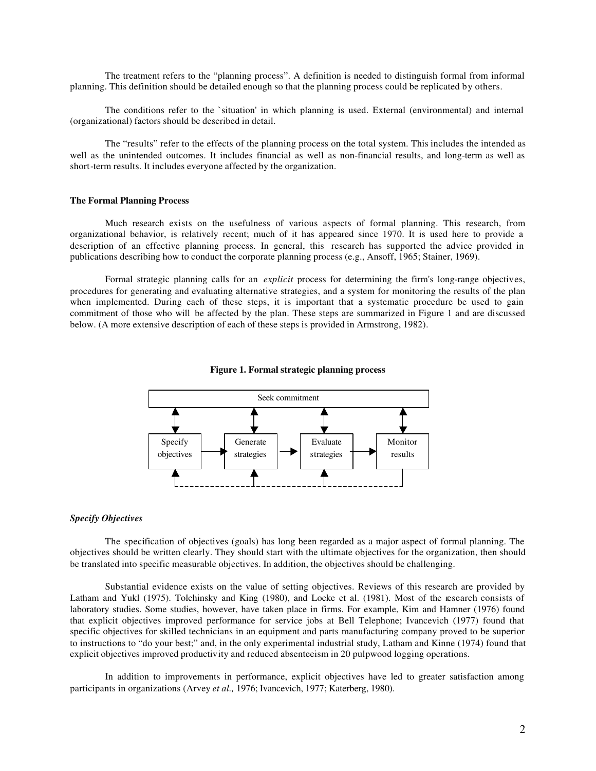The treatment refers to the "planning process". A definition is needed to distinguish formal from informal planning. This definition should be detailed enough so that the planning process could be replicated by others.

The conditions refer to the `situation' in which planning is used. External (environmental) and internal (organizational) factors should be described in detail.

The "results" refer to the effects of the planning process on the total system. This includes the intended as well as the unintended outcomes. It includes financial as well as non-financial results, and long-term as well as short-term results. It includes everyone affected by the organization.

#### **The Formal Planning Process**

Much research exists on the usefulness of various aspects of formal planning. This research, from organizational behavior, is relatively recent; much of it has appeared since 1970. It is used here to provide a description of an effective planning process. In general, this research has supported the advice provided in publications describing how to conduct the corporate planning process (e.g., Ansoff, 1965; Stainer, 1969).

Formal strategic planning calls for an *explicit* process for determining the firm's long-range objectives, procedures for generating and evaluating alternative strategies, and a system for monitoring the results of the plan when implemented. During each of these steps, it is important that a systematic procedure be used to gain commitment of those who will be affected by the plan. These steps are summarized in Figure 1 and are discussed below. (A more extensive description of each of these steps is provided in Armstrong, 1982).





#### *Specify Objectives*

The specification of objectives (goals) has long been regarded as a major aspect of formal planning. The objectives should be written clearly. They should start with the ultimate objectives for the organization, then should be translated into specific measurable objectives. In addition, the objectives should be challenging.

Substantial evidence exists on the value of setting objectives. Reviews of this research are provided by Latham and Yukl (1975). Tolchinsky and King (1980), and Locke et al. (1981). Most of the research consists of laboratory studies. Some studies, however, have taken place in firms. For example, Kim and Hamner (1976) found that explicit objectives improved performance for service jobs at Bell Telephone; Ivancevich (1977) found that specific objectives for skilled technicians in an equipment and parts manufacturing company proved to be superior to instructions to "do your best;" and, in the only experimental industrial study, Latham and Kinne (1974) found that explicit objectives improved productivity and reduced absenteeism in 20 pulpwood logging operations.

In addition to improvements in performance, explicit objectives have led to greater satisfaction among participants in organizations (Arvey *et al.,* 1976; Ivancevich, 1977; Katerberg, 1980).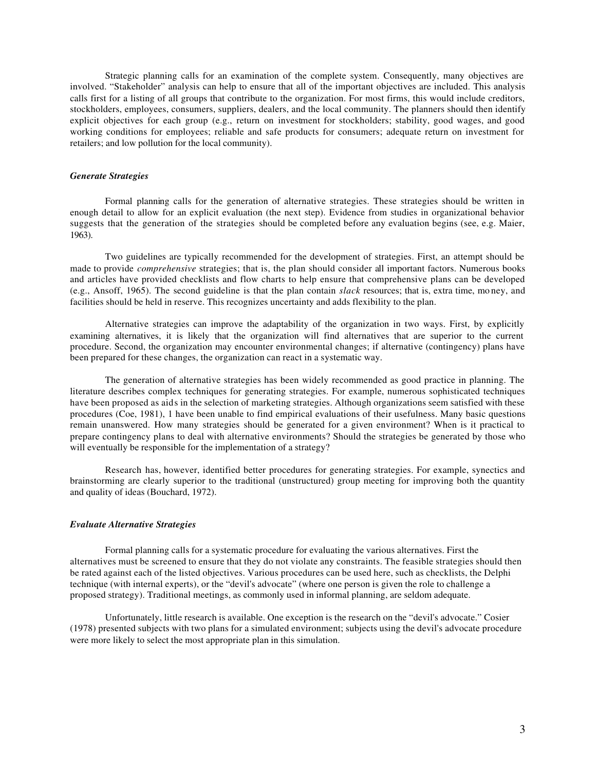Strategic planning calls for an examination of the complete system. Consequently, many objectives are involved. "Stakeholder" analysis can help to ensure that all of the important objectives are included. This analysis calls first for a listing of all groups that contribute to the organization. For most firms, this would include creditors, stockholders, employees, consumers, suppliers, dealers, and the local community. The planners should then identify explicit objectives for each group (e.g., return on investment for stockholders; stability, good wages, and good working conditions for employees; reliable and safe products for consumers; adequate return on investment for retailers; and low pollution for the local community).

## *Generate Strategies*

Formal planning calls for the generation of alternative strategies. These strategies should be written in enough detail to allow for an explicit evaluation (the next step). Evidence from studies in organizational behavior suggests that the generation of the strategies should be completed before any evaluation begins (see, e.g. Maier, 1963).

Two guidelines are typically recommended for the development of strategies. First, an attempt should be made to provide *comprehensive* strategies; that is, the plan should consider all important factors. Numerous books and articles have provided checklists and flow charts to help ensure that comprehensive plans can be developed (e.g., Ansoff, 1965). The second guideline is that the plan contain *slack* resources; that is, extra time, mo ney, and facilities should be held in reserve. This recognizes uncertainty and adds flexibility to the plan.

Alternative strategies can improve the adaptability of the organization in two ways. First, by explicitly examining alternatives, it is likely that the organization will find alternatives that are superior to the current procedure. Second, the organization may encounter environmental changes; if alternative (contingency) plans have been prepared for these changes, the organization can react in a systematic way.

The generation of alternative strategies has been widely recommended as good practice in planning. The literature describes complex techniques for generating strategies. For example, numerous sophisticated techniques have been proposed as aids in the selection of marketing strategies. Although organizations seem satisfied with these procedures (Coe, 1981), 1 have been unable to find empirical evaluations of their usefulness. Many basic questions remain unanswered. How many strategies should be generated for a given environment? When is it practical to prepare contingency plans to deal with alternative environments? Should the strategies be generated by those who will eventually be responsible for the implementation of a strategy?

Research has, however, identified better procedures for generating strategies. For example, synectics and brainstorming are clearly superior to the traditional (unstructured) group meeting for improving both the quantity and quality of ideas (Bouchard, 1972).

## *Evaluate Alternative Strategies*

Formal planning calls for a systematic procedure for evaluating the various alternatives. First the alternatives must be screened to ensure that they do not violate any constraints. The feasible strategies should then be rated against each of the listed objectives. Various procedures can be used here, such as checklists, the Delphi technique (with internal experts), or the "devil's advocate" (where one person is given the role to challenge a proposed strategy). Traditional meetings, as commonly used in informal planning, are seldom adequate.

Unfortunately, little research is available. One exception is the research on the "devil's advocate." Cosier (1978) presented subjects with two plans for a simulated environment; subjects using the devil's advocate procedure were more likely to select the most appropriate plan in this simulation.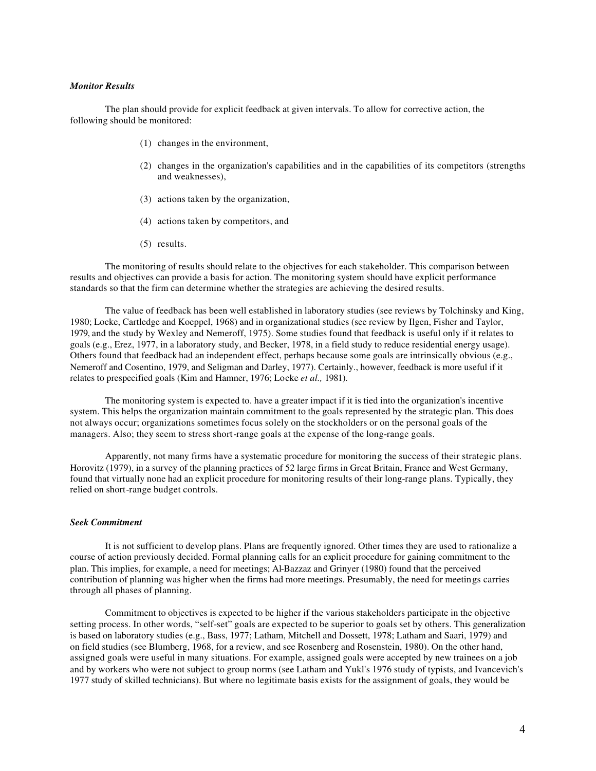## *Monitor Results*

The plan should provide for explicit feedback at given intervals. To allow for corrective action, the following should be monitored:

- (1) changes in the environment,
- (2) changes in the organization's capabilities and in the capabilities of its competitors (strengths and weaknesses),
- (3) actions taken by the organization,
- (4) actions taken by competitors, and
- (5) results.

The monitoring of results should relate to the objectives for each stakeholder. This comparison between results and objectives can provide a basis for action. The monitoring system should have explicit performance standards so that the firm can determine whether the strategies are achieving the desired results.

The value of feedback has been well established in laboratory studies (see reviews by Tolchinsky and King, 1980; Locke, Cartledge and Koeppel, 1968) and in organizational studies (see review by Ilgen, Fisher and Taylor, 1979, and the study by Wexley and Nemeroff, 1975). Some studies found that feedback is useful only if it relates to goals (e.g., Erez, 1977, in a laboratory study, and Becker, 1978, in a field study to reduce residential energy usage). Others found that feedback had an independent effect, perhaps because some goals are intrinsically obvious (e.g., Nemeroff and Cosentino, 1979, and Seligman and Darley, 1977). Certainly., however, feedback is more useful if it relates to prespecified goals (Kim and Hamner, 1976; Locke *et al.,* 1981).

The monitoring system is expected to. have a greater impact if it is tied into the organization's incentive system. This helps the organization maintain commitment to the goals represented by the strategic plan. This does not always occur; organizations sometimes focus solely on the stockholders or on the personal goals of the managers. Also; they seem to stress short-range goals at the expense of the long-range goals.

Apparently, not many firms have a systematic procedure for monitoring the success of their strategic plans. Horovitz (1979), in a survey of the planning practices of 52 large firms in Great Britain, France and West Germany, found that virtually none had an explicit procedure for monitoring results of their long-range plans. Typically, they relied on short-range budget controls.

#### *Seek Commitment*

It is not sufficient to develop plans. Plans are frequently ignored. Other times they are used to rationalize a course of action previously decided. Formal planning calls for an explicit procedure for gaining commitment to the plan. This implies, for example, a need for meetings; Al-Bazzaz and Grinyer (1980) found that the perceived contribution of planning was higher when the firms had more meetings. Presumably, the need for meetings carries through all phases of planning.

Commitment to objectives is expected to be higher if the various stakeholders participate in the objective setting process. In other words, "self-set" goals are expected to be superior to goals set by others. This generalization is based on laboratory studies (e.g., Bass, 1977; Latham, Mitchell and Dossett, 1978; Latham and Saari, 1979) and on field studies (see Blumberg, 1968, for a review, and see Rosenberg and Rosenstein, 1980). On the other hand, assigned goals were useful in many situations. For example, assigned goals were accepted by new trainees on a job and by workers who were not subject to group norms (see Latham and Yukl's 1976 study of typists, and Ivancevich's 1977 study of skilled technicians). But where no legitimate basis exists for the assignment of goals, they would be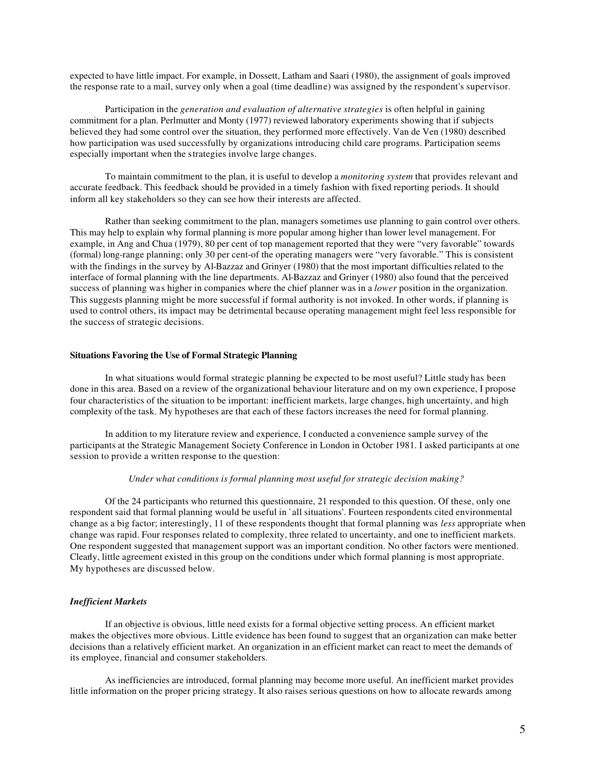expected to have little impact. For example, in Dossett, Latham and Saari (1980), the assignment of goals improved the response rate to a mail, survey only when a goal (time deadline) was assigned by the respondent's supervisor.

Participation in the *generation and evaluation of alternative strategies* is often helpful in gaining commitment for a plan. Perlmutter and Monty (1977) reviewed laboratory experiments showing that if subjects believed they had some control over the situation, they performed more effectively. Van de Ven (1980) described how participation was used successfully by organizations introducing child care programs. Participation seems especially important when the strategies involve large changes.

To maintain commitment to the plan, it is useful to develop a *monitoring system* that provides relevant and accurate feedback. This feedback should be provided in a timely fashion with fixed reporting periods. It should inform all key stakeholders so they can see how their interests are affected.

Rather than seeking commitment to the plan, managers sometimes use planning to gain control over others. This may help to explain why formal planning is more popular among higher than lower level management. For example, in Ang and Chua (1979), 80 per cent of top management reported that they were "very favorable" towards (formal) long-range planning; only 30 per cent-of the operating managers were "very favorable." This is consistent with the findings in the survey by Al-Bazzaz and Grinyer (1980) that the most important difficulties related to the interface of formal planning with the line departments. Al-Bazzaz and Grinyer (1980) also found that the perceived success of planning was higher in companies where the chief planner was in a *lower* position in the organization. This suggests planning might be more successful if formal authority is not invoked. In other words, if planning is used to control others, its impact may be detrimental because operating management might feel less responsible for the success of strategic decisions.

## **Situations Favoring the Use of Formal Strategic Planning**

In what situations would formal strategic planning be expected to be most useful? Little study has been done in this area. Based on a review of the organizational behaviour literature and on my own experience, I propose four characteristics of the situation to be important: inefficient markets, large changes, high uncertainty, and high complexity of the task. My hypotheses are that each of these factors increases the need for formal planning.

In addition to my literature review and experience, I conducted a convenience sample survey of the participants at the Strategic Management Society Conference in London in October 1981. I asked participants at one session to provide a written response to the question:

#### *Under what conditions is formal planning most useful for strategic decision making?*

Of the 24 participants who returned this questionnaire, 21 responded to this question. Of these, only one respondent said that formal planning would be useful in `all situations'. Fourteen respondents cited environmental change as a big factor; interestingly, 11 of these respondents thought that formal planning was *less* appropriate when change was rapid. Four responses related to complexity, three related to uncertainty, and one to inefficient markets. One respondent suggested that management support was an important condition. No other factors were mentioned. Clearly, little agreement existed in this group on the conditions under which formal planning is most appropriate. My hypotheses are discussed below.

#### *Inefficient Markets*

If an objective is obvious, little need exists for a formal objective setting process. An efficient market makes the objectives more obvious. Little evidence has been found to suggest that an organization can make better decisions than a relatively efficient market. An organization in an efficient market can react to meet the demands of its employee, financial and consumer stakeholders.

As inefficiencies are introduced, formal planning may become more useful. An inefficient market provides little information on the proper pricing strategy. It also raises serious questions on how to allocate rewards among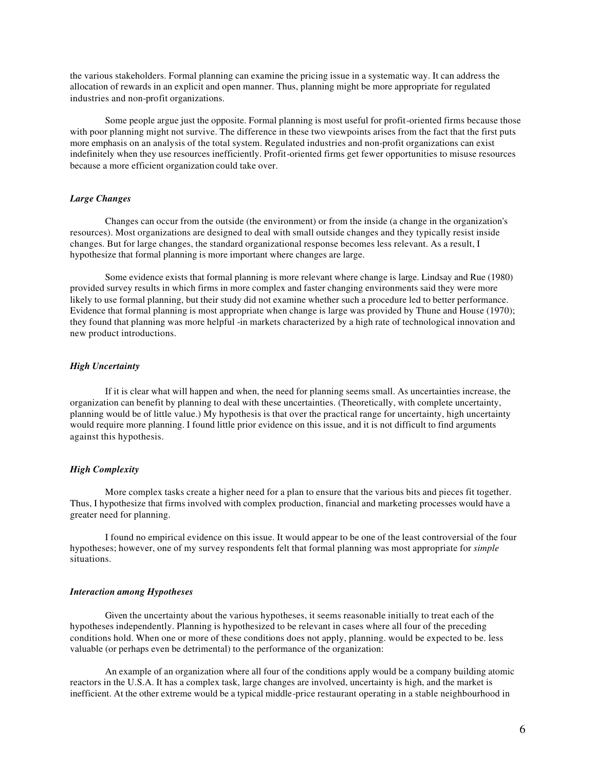the various stakeholders. Formal planning can examine the pricing issue in a systematic way. It can address the allocation of rewards in an explicit and open manner. Thus, planning might be more appropriate for regulated industries and non-profit organizations.

Some people argue just the opposite. Formal planning is most useful for profit-oriented firms because those with poor planning might not survive. The difference in these two viewpoints arises from the fact that the first puts more emphasis on an analysis of the total system. Regulated industries and non-profit organizations can exist indefinitely when they use resources inefficiently. Profit-oriented firms get fewer opportunities to misuse resources because a more efficient organization could take over.

## *Large Changes*

Changes can occur from the outside (the environment) or from the inside (a change in the organization's resources). Most organizations are designed to deal with small outside changes and they typically resist inside changes. But for large changes, the standard organizational response becomes less relevant. As a result, I hypothesize that formal planning is more important where changes are large.

Some evidence exists that formal planning is more relevant where change is large. Lindsay and Rue (1980) provided survey results in which firms in more complex and faster changing environments said they were more likely to use formal planning, but their study did not examine whether such a procedure led to better performance. Evidence that formal planning is most appropriate when change is large was provided by Thune and House (1970); they found that planning was more helpful -in markets characterized by a high rate of technological innovation and new product introductions.

#### *High Uncertainty*

If it is clear what will happen and when, the need for planning seems small. As uncertainties increase, the organization can benefit by planning to deal with these uncertainties. (Theoretically, with complete uncertainty, planning would be of little value.) My hypothesis is that over the practical range for uncertainty, high uncertainty would require more planning. I found little prior evidence on this issue, and it is not difficult to find arguments against this hypothesis.

#### *High Complexity*

More complex tasks create a higher need for a plan to ensure that the various bits and pieces fit together. Thus, I hypothesize that firms involved with complex production, financial and marketing processes would have a greater need for planning.

I found no empirical evidence on this issue. It would appear to be one of the least controversial of the four hypotheses; however, one of my survey respondents felt that formal planning was most appropriate for *simple*  situations.

#### *Interaction among Hypotheses*

Given the uncertainty about the various hypotheses, it seems reasonable initially to treat each of the hypotheses independently. Planning is hypothesized to be relevant in cases where all four of the preceding conditions hold. When one or more of these conditions does not apply, planning. would be expected to be. less valuable (or perhaps even be detrimental) to the performance of the organization:

An example of an organization where all four of the conditions apply would be a company building atomic reactors in the U.S.A. It has a complex task, large changes are involved, uncertainty is high, and the market is inefficient. At the other extreme would be a typical middle-price restaurant operating in a stable neighbourhood in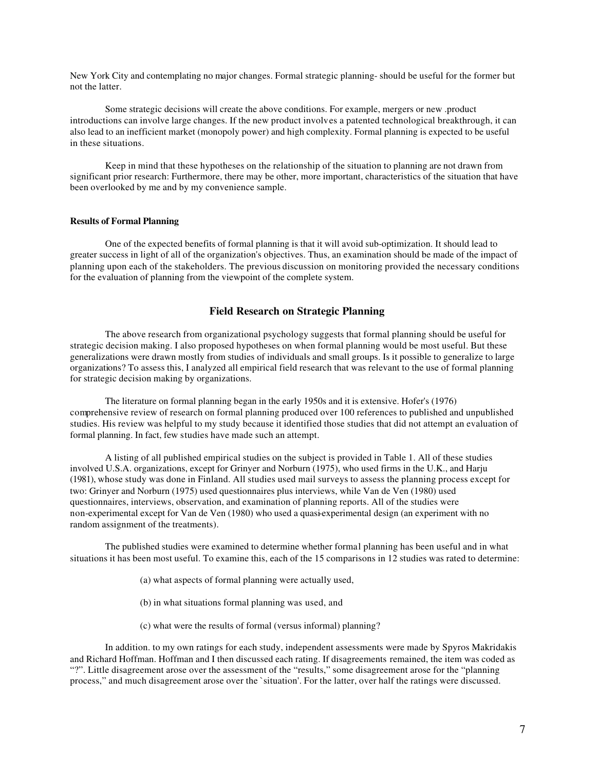New York City and contemplating no major changes. Formal strategic planning- should be useful for the former but not the latter.

Some strategic decisions will create the above conditions. For example, mergers or new .product introductions can involve large changes. If the new product involves a patented technological breakthrough, it can also lead to an inefficient market (monopoly power) and high complexity. Formal planning is expected to be useful in these situations.

Keep in mind that these hypotheses on the relationship of the situation to planning are not drawn from significant prior research: Furthermore, there may be other, more important, characteristics of the situation that have been overlooked by me and by my convenience sample.

#### **Results of Formal Planning**

One of the expected benefits of formal planning is that it will avoid sub-optimization. It should lead to greater success in light of all of the organization's objectives. Thus, an examination should be made of the impact of planning upon each of the stakeholders. The previous discussion on monitoring provided the necessary conditions for the evaluation of planning from the viewpoint of the complete system.

## **Field Research on Strategic Planning**

The above research from organizational psychology suggests that formal planning should be useful for strategic decision making. I also proposed hypotheses on when formal planning would be most useful. But these generalizations were drawn mostly from studies of individuals and small groups. Is it possible to generalize to large organizations? To assess this, I analyzed all empirical field research that was relevant to the use of formal planning for strategic decision making by organizations.

The literature on formal planning began in the early 1950s and it is extensive. Hofer's (1976) comprehensive review of research on formal planning produced over 100 references to published and unpublished studies. His review was helpful to my study because it identified those studies that did not attempt an evaluation of formal planning. In fact, few studies have made such an attempt.

A listing of all published empirical studies on the subject is provided in Table 1. All of these studies involved U.S.A. organizations, except for Grinyer and Norburn (1975), who used firms in the U.K., and Harju (1981), whose study was done in Finland. All studies used mail surveys to assess the planning process except for two: Grinyer and Norburn (1975) used questionnaires plus interviews, while Van de Ven (1980) used questionnaires, interviews, observation, and examination of planning reports. All of the studies were non-experimental except for Van de Ven (1980) who used a quasi-experimental design (an experiment with no random assignment of the treatments).

The published studies were examined to determine whether formal planning has been useful and in what situations it has been most useful. To examine this, each of the 15 comparisons in 12 studies was rated to determine:

- (a) what aspects of formal planning were actually used,
- (b) in what situations formal planning was used, and
- (c) what were the results of formal (versus informal) planning?

In addition. to my own ratings for each study, independent assessments were made by Spyros Makridakis and Richard Hoffman. Hoffman and I then discussed each rating. If disagreements remained, the item was coded as "?". Little disagreement arose over the assessment of the "results," some disagreement arose for the "planning process," and much disagreement arose over the `situation'. For the latter, over half the ratings were discussed.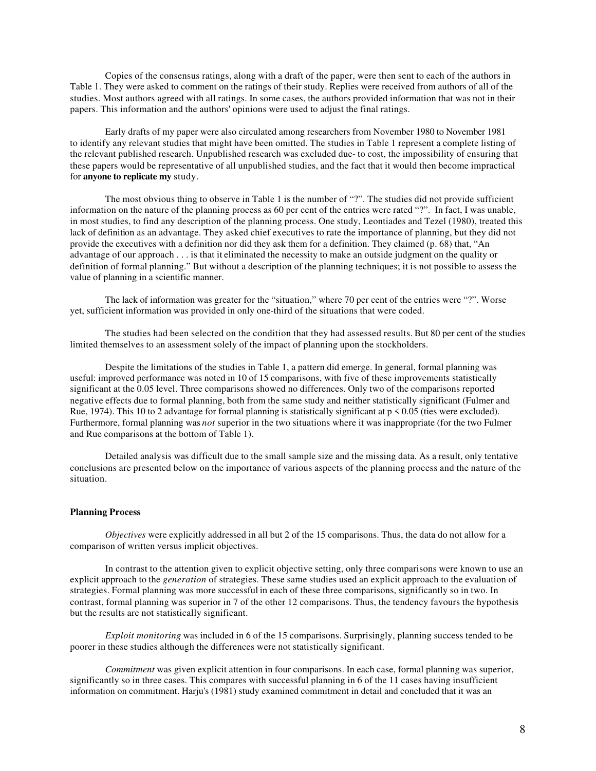Copies of the consensus ratings, along with a draft of the paper, were then sent to each of the authors in Table 1. They were asked to comment on the ratings of their study. Replies were received from authors of all of the studies. Most authors agreed with all ratings. In some cases, the authors provided information that was not in their papers. This information and the authors' opinions were used to adjust the final ratings.

Early drafts of my paper were also circulated among researchers from November 1980 to November 1981 to identify any relevant studies that might have been omitted. The studies in Table 1 represent a complete listing of the relevant published research. Unpublished research was excluded due- to cost, the impossibility of ensuring that these papers would be representative of all unpublished studies, and the fact that it would then become impractical for **anyone to replicate my** study.

The most obvious thing to observe in Table 1 is the number of "?". The studies did not provide sufficient information on the nature of the planning process as 60 per cent of the entries were rated "?". In fact, I was unable, in most studies, to find any description of the planning process. One study, Leontiades and Tezel (1980), treated this lack of definition as an advantage. They asked chief executives to rate the importance of planning, but they did not provide the executives with a definition nor did they ask them for a definition. They claimed (p. 68) that, "An advantage of our approach . . . is that it eliminated the necessity to make an outside judgment on the quality or definition of formal planning." But without a description of the planning techniques; it is not possible to assess the value of planning in a scientific manner.

The lack of information was greater for the "situation," where 70 per cent of the entries were "?". Worse yet, sufficient information was provided in only one-third of the situations that were coded.

The studies had been selected on the condition that they had assessed results. But 80 per cent of the studies limited themselves to an assessment solely of the impact of planning upon the stockholders.

Despite the limitations of the studies in Table 1, a pattern did emerge. In general, formal planning was useful: improved performance was noted in 10 of 15 comparisons, with five of these improvements statistically significant at the 0.05 level. Three comparisons showed no differences. Only two of the comparisons reported negative effects due to formal planning, both from the same study and neither statistically significant (Fulmer and Rue, 1974). This 10 to 2 advantage for formal planning is statistically significant at  $p \le 0.05$  (ties were excluded). Furthermore, formal planning was *not* superior in the two situations where it was inappropriate (for the two Fulmer and Rue comparisons at the bottom of Table 1).

Detailed analysis was difficult due to the small sample size and the missing data. As a result, only tentative conclusions are presented below on the importance of various aspects of the planning process and the nature of the situation.

#### **Planning Process**

*Objectives* were explicitly addressed in all but 2 of the 15 comparisons. Thus, the data do not allow for a comparison of written versus implicit objectives.

In contrast to the attention given to explicit objective setting, only three comparisons were known to use an explicit approach to the *generation* of strategies. These same studies used an explicit approach to the evaluation of strategies. Formal planning was more successful in each of these three comparisons, significantly so in two. In contrast, formal planning was superior in 7 of the other 12 comparisons. Thus, the tendency favours the hypothesis but the results are not statistically significant.

*Exploit monitoring* was included in 6 of the 15 comparisons. Surprisingly, planning success tended to be poorer in these studies although the differences were not statistically significant.

*Commitment* was given explicit attention in four comparisons. In each case, formal planning was superior, significantly so in three cases. This compares with successful planning in 6 of the 11 cases having insufficient information on commitment. Harju's (1981) study examined commitment in detail and concluded that it was an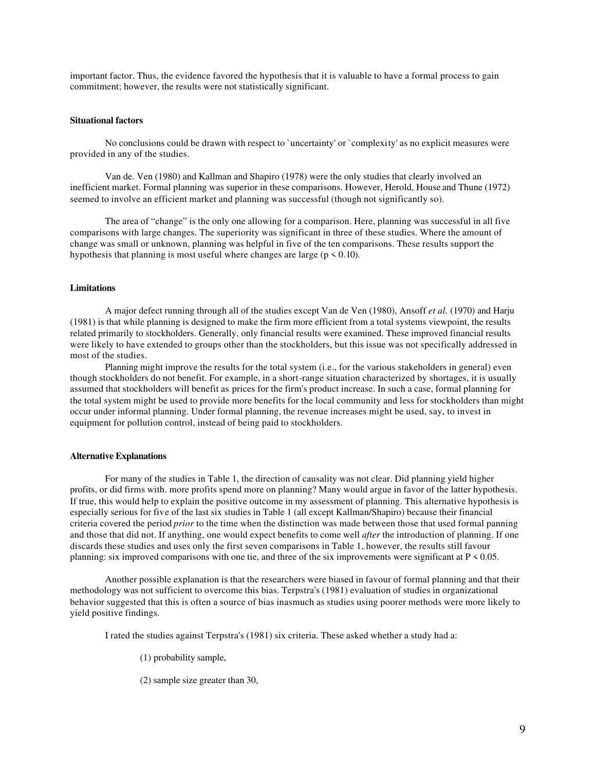important factor. Thus, the evidence favored the hypothesis that it is valuable to have a formal process to gain commitment; however, the results were not statistically significant.

#### **Situational factors**

No conclusions could be drawn with respect to `uncertainty' or `complexity' as no explicit measures were provided in any of the studies.

Van de. Ven (1980) and Kallman and Shapiro (1978) were the only studies that clearly involved an inefficient market. Formal planning was superior in these comparisons. However, Herold, House and Thune (1972) seemed to involve an efficient market and planning was successful (though not significantly so).

The area of "change" is the only one allowing for a comparison. Here, planning was successful in all five comparisons with large changes. The superiority was significant in three of these studies. Where the amount of change was small or unknown, planning was helpful in five of the ten comparisons. These results support the hypothesis that planning is most useful where changes are large ( $p \le 0.10$ ).

## **Limitations**

A major defect running through all of the studies except Van de Ven (1980), Ansoff *et al.* (1970) and Harju (1981) is that while planning is designed to make the firm more efficient from a total systems viewpoint, the results related primarily to stockholders. Generally, only financial results were examined. These improved financial results were likely to have extended to groups other than the stockholders, but this issue was not specifically addressed in most of the studies.

Planning might improve the results for the total system (i.e., for the various stakeholders in general) even though stockholders do not benefit. For example, in a short-range situation characterized by shortages, it is usually assumed that stockholders will benefit as prices for the firm's product increase. In such a case, formal planning for the total system might be used to provide more benefits for the local community and less for stockholders than might occur under informal planning. Under formal planning, the revenue increases might be used, say, to invest in equipment for pollution control, instead of being paid to stockholders.

## **Alternative Explanations**

For many of the studies in Table 1, the direction of causality was not clear. Did planning yield higher profits, or did firms with. more profits spend more on planning? Many would argue in favor of the latter hypothesis. If true, this would help to explain the positive outcome in my assessment of planning. This alternative hypothesis is especially serious for five of the last six studies in Table 1 (all except Kallman/Shapiro) because their financial criteria covered the period *prior* to the time when the distinction was made between those that used formal panning and those that did not. If anything, one would expect benefits to come well *after* the introduction of planning. If one discards these studies and uses only the first seven comparisons in Table 1, however, the results still favour planning: six improved comparisons with one tie, and three of the six improvements were significant at P < 0.05.

Another possible explanation is that the researchers were biased in favour of formal planning and that their methodology was not sufficient to overcome this bias. Terpstra's (1981) evaluation of studies in organizational behavior suggested that this is often a source of bias inasmuch as studies using poorer methods were more likely to yield positive findings.

I rated the studies against Terpstra's (1981) six criteria. These asked whether a study had a:

- (1) probability sample,
- (2) sample size greater than 30,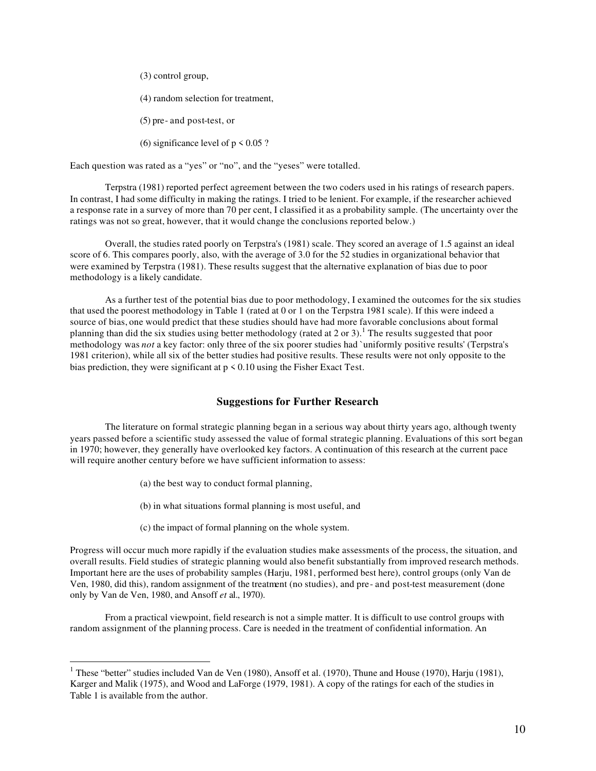(3) control group,

(4) random selection for treatment,

(5) pre- and post-test, or

(6) significance level of  $p \le 0.05$ ?

Each question was rated as a "yes" or "no", and the "yeses" were totalled.

Terpstra (1981) reported perfect agreement between the two coders used in his ratings of research papers. In contrast, I had some difficulty in making the ratings. I tried to be lenient. For example, if the researcher achieved a response rate in a survey of more than 70 per cent, I classified it as a probability sample. (The uncertainty over the ratings was not so great, however, that it would change the conclusions reported below.)

Overall, the studies rated poorly on Terpstra's (1981) scale. They scored an average of 1.5 against an ideal score of 6. This compares poorly, also, with the average of 3.0 for the 52 studies in organizational behavior that were examined by Terpstra (1981). These results suggest that the alternative explanation of bias due to poor methodology is a likely candidate.

As a further test of the potential bias due to poor methodology, I examined the outcomes for the six studies that used the poorest methodology in Table 1 (rated at 0 or 1 on the Terpstra 1981 scale). If this were indeed a source of bias, one would predict that these studies should have had more favorable conclusions about formal planning than did the six studies using better methodology (rated at 2 or 3).<sup>1</sup> The results suggested that poor methodology was *not* a key factor: only three of the six poorer studies had `uniformly positive results' (Terpstra's 1981 criterion), while all six of the better studies had positive results. These results were not only opposite to the bias prediction, they were significant at  $p \le 0.10$  using the Fisher Exact Test.

## **Suggestions for Further Research**

The literature on formal strategic planning began in a serious way about thirty years ago, although twenty years passed before a scientific study assessed the value of formal strategic planning. Evaluations of this sort began in 1970; however, they generally have overlooked key factors. A continuation of this research at the current pace will require another century before we have sufficient information to assess:

(a) the best way to conduct formal planning,

 $\overline{a}$ 

- (b) in what situations formal planning is most useful, and
- (c) the impact of formal planning on the whole system.

Progress will occur much more rapidly if the evaluation studies make assessments of the process, the situation, and overall results. Field studies of strategic planning would also benefit substantially from improved research methods. Important here are the uses of probability samples (Harju, 1981, performed best here), control groups (only Van de Ven, 1980, did this), random assignment of the treatment (no studies), and pre- and post-test measurement (done only by Van de Ven, 1980, and Ansoff *et* al., 1970).

From a practical viewpoint, field research is not a simple matter. It is difficult to use control groups with random assignment of the planning process. Care is needed in the treatment of confidential information. An

<sup>&</sup>lt;sup>1</sup> These "better" studies included Van de Ven (1980), Ansoff et al. (1970), Thune and House (1970), Harju (1981), Karger and Malik (1975), and Wood and LaForge (1979, 1981). A copy of the ratings for each of the studies in Table 1 is available from the author.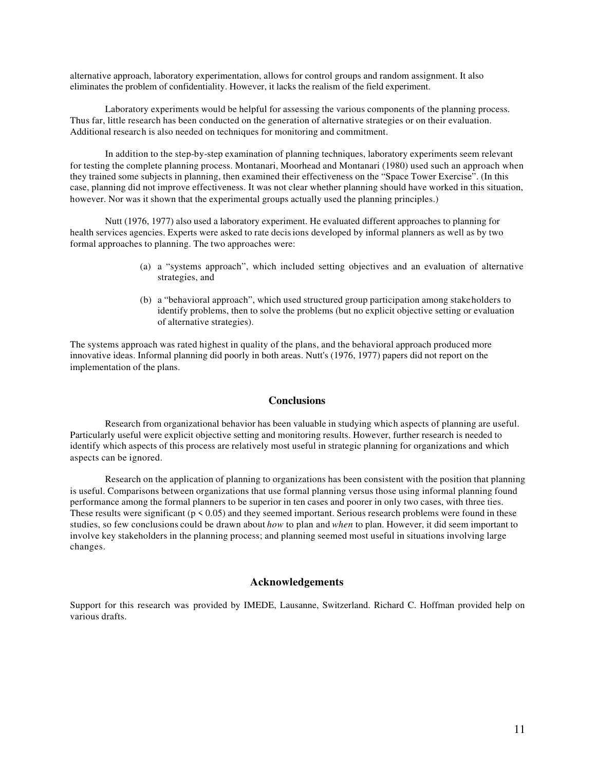alternative approach, laboratory experimentation, allows for control groups and random assignment. It also eliminates the problem of confidentiality. However, it lacks the realism of the field experiment.

Laboratory experiments would be helpful for assessing the various components of the planning process. Thus far, little research has been conducted on the generation of alternative strategies or on their evaluation. Additional research is also needed on techniques for monitoring and commitment.

In addition to the step-by-step examination of planning techniques, laboratory experiments seem relevant for testing the complete planning process. Montanari, Moorhead and Montanari (1980) used such an approach when they trained some subjects in planning, then examined their effectiveness on the "Space Tower Exercise". (In this case, planning did not improve effectiveness. It was not clear whether planning should have worked in this situation, however. Nor was it shown that the experimental groups actually used the planning principles.)

Nutt (1976, 1977) also used a laboratory experiment. He evaluated different approaches to planning for health services agencies. Experts were asked to rate decisions developed by informal planners as well as by two formal approaches to planning. The two approaches were:

- (a) a "systems approach", which included setting objectives and an evaluation of alternative strategies, and
- (b) a "behavioral approach", which used structured group participation among stakeholders to identify problems, then to solve the problems (but no explicit objective setting or evaluation of alternative strategies).

The systems approach was rated highest in quality of the plans, and the behavioral approach produced more innovative ideas. Informal planning did poorly in both areas. Nutt's (1976, 1977) papers did not report on the implementation of the plans.

## **Conclusions**

Research from organizational behavior has been valuable in studying which aspects of planning are useful. Particularly useful were explicit objective setting and monitoring results. However, further research is needed to identify which aspects of this process are relatively most useful in strategic planning for organizations and which aspects can be ignored.

Research on the application of planning to organizations has been consistent with the position that planning is useful. Comparisons between organizations that use formal planning versus those using informal planning found performance among the formal planners to be superior in ten cases and poorer in only two cases, with three ties. These results were significant ( $p < 0.05$ ) and they seemed important. Serious research problems were found in these studies, so few conclusions could be drawn about *how* to plan and *when* to plan. However, it did seem important to involve key stakeholders in the planning process; and planning seemed most useful in situations involving large changes.

## **Acknowledgements**

Support for this research was provided by IMEDE, Lausanne, Switzerland. Richard C. Hoffman provided help on various drafts.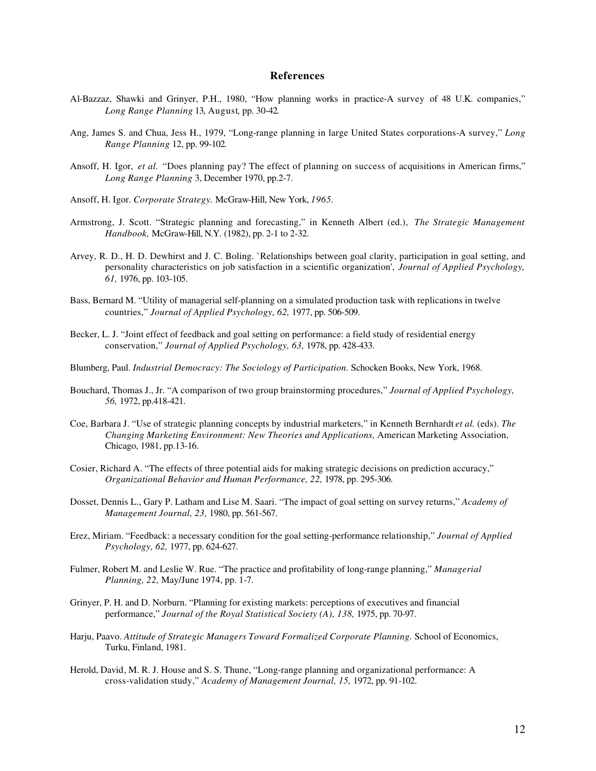## **References**

- Al-Bazzaz, Shawki and Grinyer, P.H., 1980, "How planning works in practice-A survey of 48 U.K. companies," *Long Range Planning* 13*,* August*,* pp. 30-42*.*
- Ang, James S. and Chua, Jess H., 1979, "Long-range planning in large United States corporations-A survey," *Long Range Planning* 12, pp. 99-102*.*
- Ansoff, H. Igor, *et al.* "Does planning pay? The effect of planning on success of acquisitions in American firms," *Long Range Planning* 3, December 1970, pp.2-7.
- Ansoff, H. Igor. *Corporate Strategy.* McGraw-Hill, New York, *1965.*
- Armstrong, J. Scott. "Strategic planning and forecasting," in Kenneth Albert (ed.), *The Strategic Management Handbook,* McGraw-Hill, N.Y. (1982), pp. 2-1 to 2-32.
- Arvey, R. D., H. D. Dewhirst and J. C. Boling. `Relationships between goal clarity, participation in goal setting, and personality characteristics on job satisfaction in a scientific organization', *Journal of Applied Psychology, 61,* 1976, pp. 103-105.
- Bass, Bernard M. "Utility of managerial self-planning on a simulated production task with replications in twelve countries," *Journal of Applied Psychology, 62,* 1977, pp. 506-509.
- Becker, L. J. "Joint effect of feedback and goal setting on performance: a field study of residential energy conservation," *Journal of Applied Psychology, 63,* 1978, pp. 428-433.
- Blumberg, Paul. *Industrial Democracy: The Sociology of Participation.* Schocken Books, New York, 1968.
- Bouchard, Thomas J., Jr. "A comparison of two group brainstorming procedures," *Journal of Applied Psychology, 56,* 1972, pp.418-421.
- Coe, Barbara J. "Use of strategic planning concepts by industrial marketers," in Kenneth Bernhardt *et al.* (eds). *The Changing Marketing Environment: New Theories and Applications,* American Marketing Association, Chicago, 1981, pp.13-16.
- Cosier, Richard A. "The effects of three potential aids for making strategic decisions on prediction accuracy," *Organizational Behavior and Human Performance, 22,* 1978, pp. 295-306.
- Dosset, Dennis L., Gary P. Latham and Lise M. Saari. "The impact of goal setting on survey returns," *Academy of Management Journal, 23,* 1980, pp. 561-567.
- Erez, Miriam. "Feedback: a necessary condition for the goal setting-performance relationship," *Journal of Applied Psychology, 62,* 1977, pp. 624-627.
- Fulmer, Robert M. and Leslie W. Rue. "The practice and profitability of long-range planning," *Managerial Planning, 22,* May/June 1974, pp. 1-7.
- Grinyer, P. H. and D. Norburn. "Planning for existing markets: perceptions of executives and financial performance," *Journal of the Royal Statistical Society (A), 138,* 1975, pp. 70-97.
- Harju, Paavo. *Attitude of Strategic Managers Toward Formalized Corporate Planning.* School of Economics, Turku, Finland, 1981.
- Herold, David, M. R. J. House and S. S. Thune, "Long-range planning and organizational performance: A cross-validation study," *Academy of Management Journal, 15,* 1972, pp. 91-102.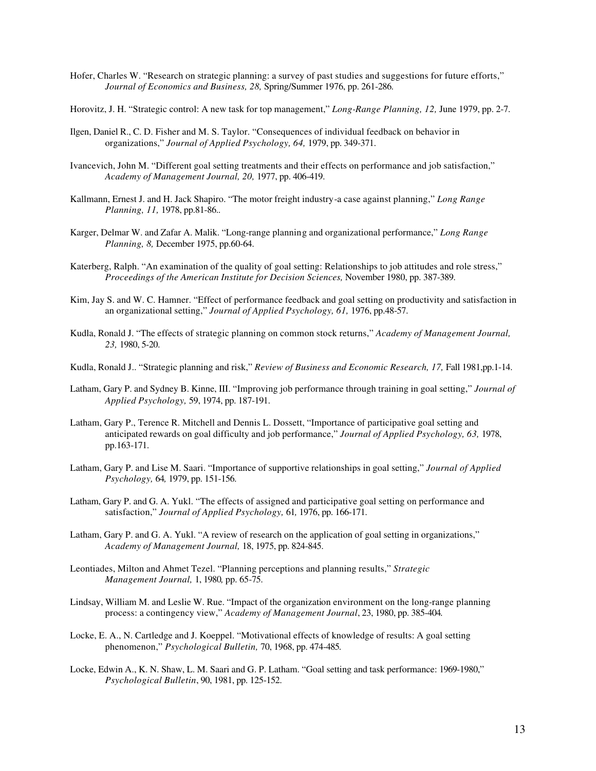- Hofer, Charles W. "Research on strategic planning: a survey of past studies and suggestions for future efforts," *Journal of Economics and Business, 28,* Spring/Summer 1976, pp. 261-286.
- Horovitz, J. H. "Strategic control: A new task for top management," *Long-Range Planning, 12,* June 1979, pp. 2-7.
- Ilgen, Daniel R., C. D. Fisher and M. S. Taylor. "Consequences of individual feedback on behavior in organizations," *Journal of Applied Psychology, 64,* 1979, pp. 349-371.
- Ivancevich, John M. "Different goal setting treatments and their effects on performance and job satisfaction," *Academy of Management Journal, 20,* 1977, pp. 406-419.
- Kallmann, Ernest J. and H. Jack Shapiro. "The motor freight industry-a case against planning," *Long Range Planning, 11,* 1978, pp.81-86..
- Karger, Delmar W. and Zafar A. Malik. "Long-range planning and organizational performance," *Long Range Planning, 8,* December 1975, pp.60-64.
- Katerberg, Ralph. "An examination of the quality of goal setting: Relationships to job attitudes and role stress," *Proceedings of the American Institute for Decision Sciences,* November 1980, pp. 387-389.
- Kim, Jay S. and W. C. Hamner. "Effect of performance feedback and goal setting on productivity and satisfaction in an organizational setting," *Journal of Applied Psychology, 61,* 1976, pp.48-57.
- Kudla, Ronald J. "The effects of strategic planning on common stock returns," *Academy of Management Journal, 23,* 1980, 5-20.
- Kudla, Ronald J.. "Strategic planning and risk," *Review of Business and Economic Research, 17,* Fall 1981,pp.1-14.
- Latham, Gary P. and Sydney B. Kinne, III. "Improving job performance through training in goal setting," *Journal of Applied Psychology,* 59, 1974, pp. 187-191.
- Latham, Gary P., Terence R. Mitchell and Dennis L. Dossett, "Importance of participative goal setting and anticipated rewards on goal difficulty and job performance," *Journal of Applied Psychology, 63,* 1978, pp.163-171.
- Latham, Gary P. and Lise M. Saari. "Importance of supportive relationships in goal setting," *Journal of Applied Psychology,* 64*,* 1979, pp. 151-156.
- Latham, Gary P. and G. A. Yukl. "The effects of assigned and participative goal setting on performance and satisfaction," *Journal of Applied Psychology,* 61*,* 1976, pp. 166-171.
- Latham, Gary P. and G. A. Yukl. "A review of research on the application of goal setting in organizations," *Academy of Management Journal,* 18, 1975, pp. 824-845.
- Leontiades, Milton and Ahmet Tezel. "Planning perceptions and planning results," *Strategic Management Journal,* 1, 1980*,* pp. 65-75.
- Lindsay, William M. and Leslie W. Rue. "Impact of the organization environment on the long-range planning process: a contingency view," *Academy of Management Journal*, 23, 1980, pp. 385-404*.*
- Locke, E. A., N. Cartledge and J. Koeppel. "Motivational effects of knowledge of results: A goal setting phenomenon," *Psychological Bulletin,* 70, 1968, pp. 474-485*.*
- Locke, Edwin A., K. N. Shaw, L. M. Saari and G. P. Latham. "Goal setting and task performance: 1969-1980," *Psychological Bulletin*, 90, 1981, pp. 125-152.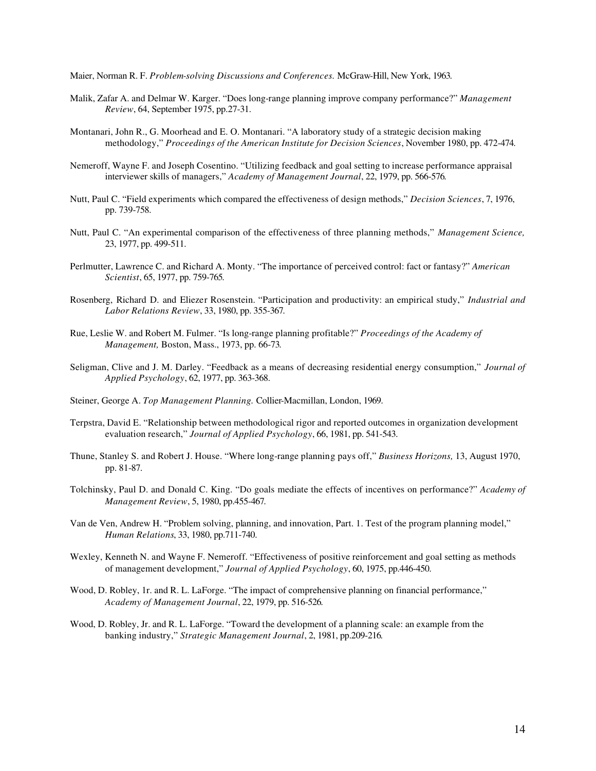Maier, Norman R. F. *Problem-solving Discussions and Conferences.* McGraw-Hill, New York, 1963*.*

- Malik, Zafar A. and Delmar W. Karger. "Does long-range planning improve company performance?" *Management Review*, 64, September 1975, pp.27-31.
- Montanari, John R., G. Moorhead and E. O. Montanari. "A laboratory study of a strategic decision making methodology," *Proceedings of the American Institute for Decision Sciences*, November 1980, pp. 472-474*.*
- Nemeroff, Wayne F. and Joseph Cosentino. "Utilizing feedback and goal setting to increase performance appraisal interviewer skills of managers," *Academy of Management Journal*, 22, 1979, pp. 566-576*.*
- Nutt, Paul C. "Field experiments which compared the effectiveness of design methods," *Decision Sciences*, 7, 1976, pp. 739-758.
- Nutt, Paul C. "An experimental comparison of the effectiveness of three planning methods," *Management Science,*  23, 1977, pp. 499-511.
- Perlmutter, Lawrence C. and Richard A. Monty. "The importance of perceived control: fact or fantasy?" *American Scientist*, 65, 1977, pp. 759-765*.*
- Rosenberg, Richard D. and Eliezer Rosenstein. "Participation and productivity: an empirical study," *Industrial and Labor Relations Review*, 33, 1980, pp. 355-367*.*
- Rue, Leslie W. and Robert M. Fulmer. "Is long-range planning profitable?" *Proceedings of the Academy of Management,* Boston, Mass., 1973, pp. 66-73*.*
- Seligman, Clive and J. M. Darley. "Feedback as a means of decreasing residential energy consumption," *Journal of Applied Psychology*, 62, 1977, pp. 363-368.
- Steiner, George A. *Top Management Planning.* Collier-Macmillan, London, 1969.
- Terpstra, David E. "Relationship between methodological rigor and reported outcomes in organization development evaluation research," *Journal of Applied Psychology*, 66, 1981, pp. 541-543.
- Thune, Stanley S. and Robert J. House. "Where long-range planning pays off," *Business Horizons,* 13, August 1970, pp. 81-87.
- Tolchinsky, Paul D. and Donald C. King. "Do goals mediate the effects of incentives on performance?" *Academy of Management Review*, 5, 1980, pp.455-467*.*
- Van de Ven, Andrew H. "Problem solving, planning, and innovation, Part. 1. Test of the program planning model," *Human Relations*, 33, 1980, pp.711-740.
- Wexley, Kenneth N. and Wayne F. Nemeroff. "Effectiveness of positive reinforcement and goal setting as methods of management development," *Journal of Applied Psychology*, 60, 1975, pp.446-450.
- Wood, D. Robley, 1r. and R. L. LaForge. "The impact of comprehensive planning on financial performance," *Academy of Management Journal*, 22, 1979, pp. 516-526*.*
- Wood, D. Robley, Jr. and R. L. LaForge. "Toward the development of a planning scale: an example from the banking industry," *Strategic Management Journal*, 2, 1981, pp.209-216*.*